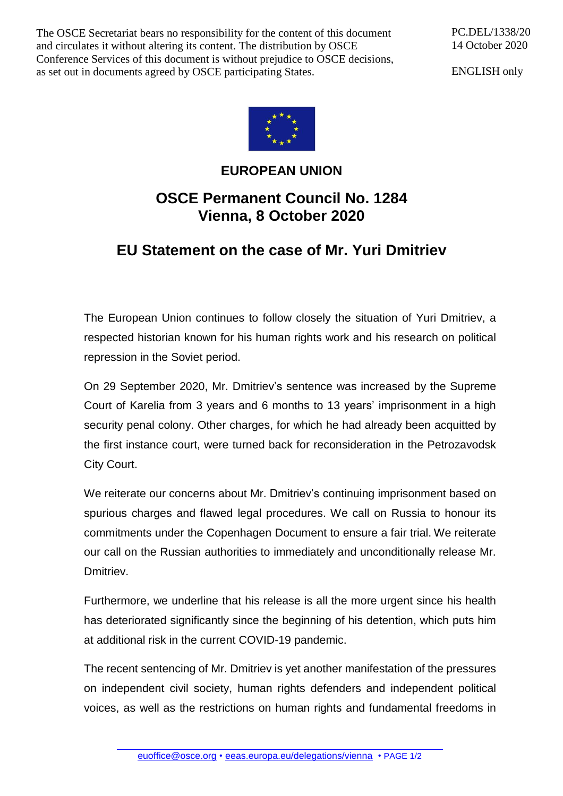The OSCE Secretariat bears no responsibility for the content of this document and circulates it without altering its content. The distribution by OSCE Conference Services of this document is without prejudice to OSCE decisions, as set out in documents agreed by OSCE participating States.

PC.DEL/1338/20 14 October 2020

ENGLISH only



## **EUROPEAN UNION OSCE Permanent Council No. 1284 Vienna, 8 October 2020**

## **EU Statement on the case of Mr. Yuri Dmitriev**

The European Union continues to follow closely the situation of Yuri Dmitriev, a respected historian known for his human rights work and his research on political repression in the Soviet period.

On 29 September 2020, Mr. Dmitriev's sentence was increased by the Supreme Court of Karelia from 3 years and 6 months to 13 years' imprisonment in a high security penal colony. Other charges, for which he had already been acquitted by the first instance court, were turned back for reconsideration in the Petrozavodsk City Court.

We reiterate our concerns about Mr. Dmitriev's continuing imprisonment based on spurious charges and flawed legal procedures. We call on Russia to honour its commitments under the Copenhagen Document to ensure a fair trial. We reiterate our call on the Russian authorities to immediately and unconditionally release Mr. Dmitriev.

Furthermore, we underline that his release is all the more urgent since his health has deteriorated significantly since the beginning of his detention, which puts him at additional risk in the current COVID-19 pandemic.

The recent sentencing of Mr. Dmitriev is yet another manifestation of the pressures on independent civil society, human rights defenders and independent political voices, as well as the restrictions on human rights and fundamental freedoms in